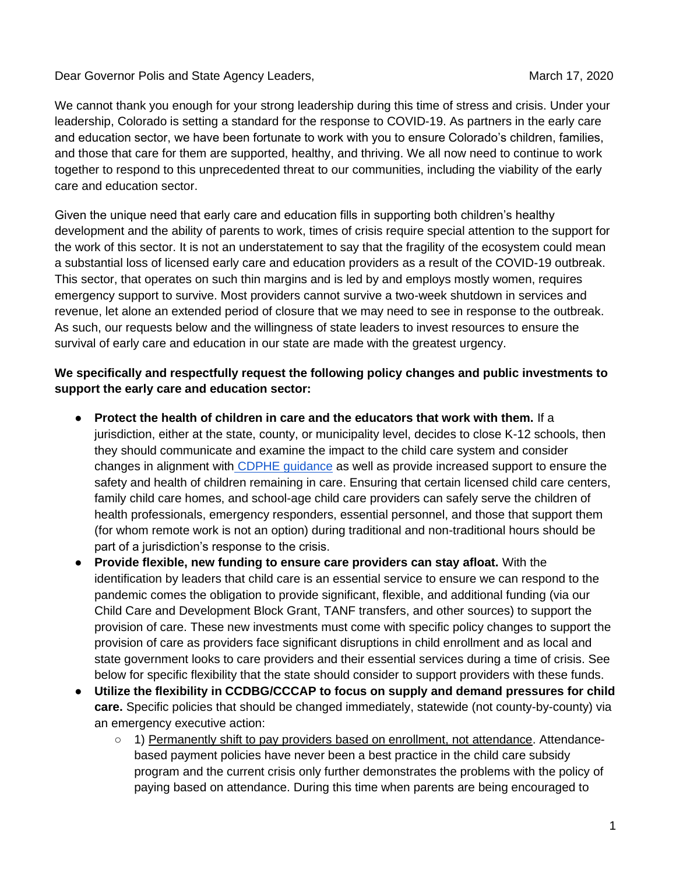Dear Governor Polis and State Agency Leaders, New York March 17, 2020 March 17, 2020

We cannot thank you enough for your strong leadership during this time of stress and crisis. Under your leadership, Colorado is setting a standard for the response to COVID-19. As partners in the early care and education sector, we have been fortunate to work with you to ensure Colorado's children, families, and those that care for them are supported, healthy, and thriving. We all now need to continue to work together to respond to this unprecedented threat to our communities, including the viability of the early care and education sector.

Given the unique need that early care and education fills in supporting both children's healthy development and the ability of parents to work, times of crisis require special attention to the support for the work of this sector. It is not an understatement to say that the fragility of the ecosystem could mean a substantial loss of licensed early care and education providers as a result of the COVID-19 outbreak. This sector, that operates on such thin margins and is led by and employs mostly women, requires emergency support to survive. Most providers cannot survive a two-week shutdown in services and revenue, let alone an extended period of closure that we may need to see in response to the outbreak. As such, our requests below and the willingness of state leaders to invest resources to ensure the survival of early care and education in our state are made with the greatest urgency.

## **We specifically and respectfully request the following policy changes and public investments to support the early care and education sector:**

- **Protect the health of children in care and the educators that work with them.** If a jurisdiction, either at the state, county, or municipality level, decides to close K-12 schools, then they should communicate and examine the impact to the child care system and consider changes in alignment with [CDPHE guidance](https://docs.google.com/document/d/e/2PACX-1vTzDE3MD-iGBguZy-W7QEuHJJLa9cwez-iToYdf2EOaK-bHQOz_wY3TXROMOyPZMY1B2fxSdkaLdj0v/pub) as well as provide increased support to ensure the safety and health of children remaining in care. Ensuring that certain licensed child care centers, family child care homes, and school-age child care providers can safely serve the children of health professionals, emergency responders, essential personnel, and those that support them (for whom remote work is not an option) during traditional and non-traditional hours should be part of a jurisdiction's response to the crisis.
- **Provide flexible, new funding to ensure care providers can stay afloat.** With the identification by leaders that child care is an essential service to ensure we can respond to the pandemic comes the obligation to provide significant, flexible, and additional funding (via our Child Care and Development Block Grant, TANF transfers, and other sources) to support the provision of care. These new investments must come with specific policy changes to support the provision of care as providers face significant disruptions in child enrollment and as local and state government looks to care providers and their essential services during a time of crisis. See below for specific flexibility that the state should consider to support providers with these funds.
- **Utilize the flexibility in CCDBG/CCCAP to focus on supply and demand pressures for child care.** Specific policies that should be changed immediately, statewide (not county-by-county) via an emergency executive action:
	- 1) Permanently shift to pay providers based on enrollment, not attendance. Attendancebased payment policies have never been a best practice in the child care subsidy program and the current crisis only further demonstrates the problems with the policy of paying based on attendance. During this time when parents are being encouraged to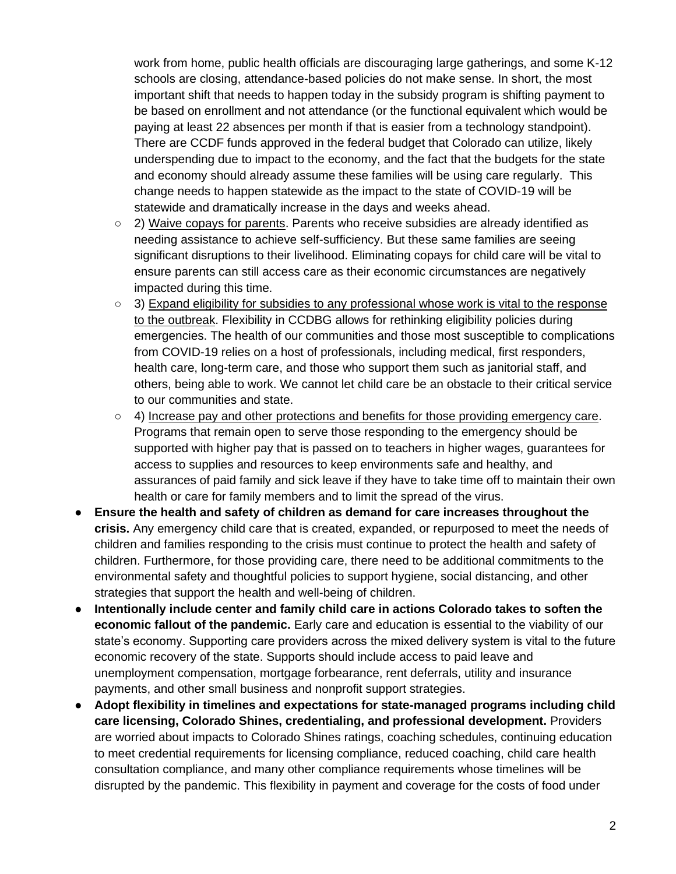work from home, public health officials are discouraging large gatherings, and some K-12 schools are closing, attendance-based policies do not make sense. In short, the most important shift that needs to happen today in the subsidy program is shifting payment to be based on enrollment and not attendance (or the functional equivalent which would be paying at least 22 absences per month if that is easier from a technology standpoint). There are CCDF funds approved in the federal budget that Colorado can utilize, likely underspending due to impact to the economy, and the fact that the budgets for the state and economy should already assume these families will be using care regularly. This change needs to happen statewide as the impact to the state of COVID-19 will be statewide and dramatically increase in the days and weeks ahead.

- $\circ$  2) Waive copays for parents. Parents who receive subsidies are already identified as needing assistance to achieve self-sufficiency. But these same families are seeing significant disruptions to their livelihood. Eliminating copays for child care will be vital to ensure parents can still access care as their economic circumstances are negatively impacted during this time.
- 3) Expand eligibility for subsidies to any professional whose work is vital to the response to the outbreak. Flexibility in CCDBG allows for rethinking eligibility policies during emergencies. The health of our communities and those most susceptible to complications from COVID-19 relies on a host of professionals, including medical, first responders, health care, long-term care, and those who support them such as janitorial staff, and others, being able to work. We cannot let child care be an obstacle to their critical service to our communities and state.
- $\circ$  4) Increase pay and other protections and benefits for those providing emergency care. Programs that remain open to serve those responding to the emergency should be supported with higher pay that is passed on to teachers in higher wages, guarantees for access to supplies and resources to keep environments safe and healthy, and assurances of paid family and sick leave if they have to take time off to maintain their own health or care for family members and to limit the spread of the virus.
- **Ensure the health and safety of children as demand for care increases throughout the crisis.** Any emergency child care that is created, expanded, or repurposed to meet the needs of children and families responding to the crisis must continue to protect the health and safety of children. Furthermore, for those providing care, there need to be additional commitments to the environmental safety and thoughtful policies to support hygiene, social distancing, and other strategies that support the health and well-being of children.
- **Intentionally include center and family child care in actions Colorado takes to soften the economic fallout of the pandemic.** Early care and education is essential to the viability of our state's economy. Supporting care providers across the mixed delivery system is vital to the future economic recovery of the state. Supports should include access to paid leave and unemployment compensation, mortgage forbearance, rent deferrals, utility and insurance payments, and other small business and nonprofit support strategies.
- **Adopt flexibility in timelines and expectations for state-managed programs including child care licensing, Colorado Shines, credentialing, and professional development.** Providers are worried about impacts to Colorado Shines ratings, coaching schedules, continuing education to meet credential requirements for licensing compliance, reduced coaching, child care health consultation compliance, and many other compliance requirements whose timelines will be disrupted by the pandemic. This flexibility in payment and coverage for the costs of food under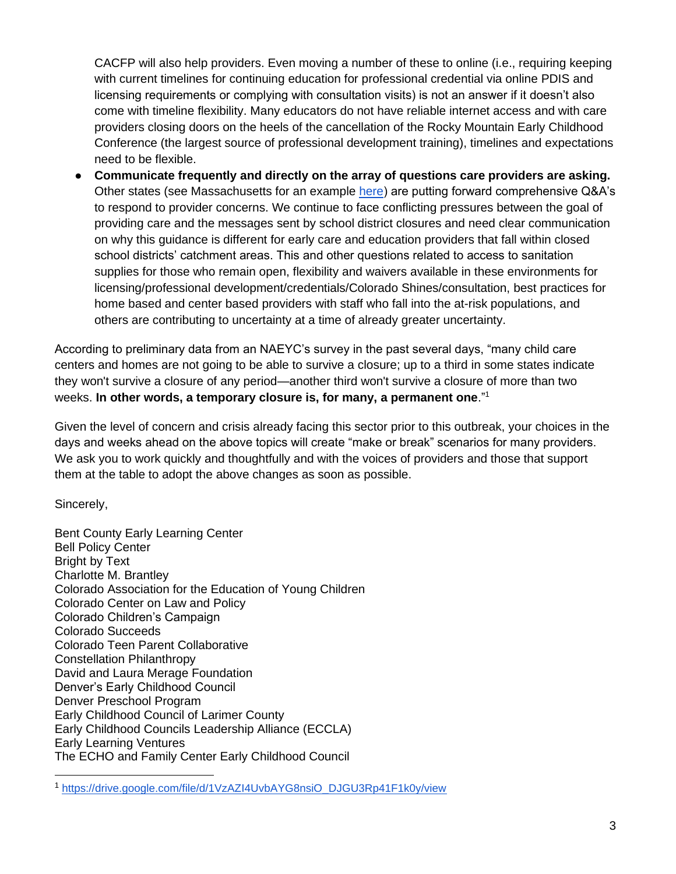CACFP will also help providers. Even moving a number of these to online (i.e., requiring keeping with current timelines for continuing education for professional credential via online PDIS and licensing requirements or complying with consultation visits) is not an answer if it doesn't also come with timeline flexibility. Many educators do not have reliable internet access and with care providers closing doors on the heels of the cancellation of the Rocky Mountain Early Childhood Conference (the largest source of professional development training), timelines and expectations need to be flexible.

Communicate frequently and directly on the array of questions care providers are asking. Other states (see Massachusetts for an exampl[e](https://www.mass.gov/service-details/coronavirus-covid-19-eec-frequently-asked-questions) [here\)](https://www.mass.gov/service-details/coronavirus-covid-19-eec-frequently-asked-questions) are putting forward comprehensive Q&A's to respond to provider concerns. We continue to face conflicting pressures between the goal of providing care and the messages sent by school district closures and need clear communication on why this guidance is different for early care and education providers that fall within closed school districts' catchment areas. This and other questions related to access to sanitation supplies for those who remain open, flexibility and waivers available in these environments for licensing/professional development/credentials/Colorado Shines/consultation, best practices for home based and center based providers with staff who fall into the at-risk populations, and others are contributing to uncertainty at a time of already greater uncertainty.

According to preliminary data from an NAEYC's survey in the past several days, "many child care centers and homes are not going to be able to survive a closure; up to a third in some states indicate they won't survive a closure of any period—another third won't survive a closure of more than two weeks. **In other words, a temporary closure is, for many, a permanent one**."<sup>1</sup>

Given the level of concern and crisis already facing this sector prior to this outbreak, your choices in the days and weeks ahead on the above topics will create "make or break" scenarios for many providers. We ask you to work quickly and thoughtfully and with the voices of providers and those that support them at the table to adopt the above changes as soon as possible.

Sincerely,

Bent County Early Learning Center Bell Policy Center Bright by Text Charlotte M. Brantley Colorado Association for the Education of Young Children Colorado Center on Law and Policy Colorado Children's Campaign Colorado Succeeds Colorado Teen Parent Collaborative Constellation Philanthropy David and Laura Merage Foundation Denver's Early Childhood Council Denver Preschool Program Early Childhood Council of Larimer County Early Childhood Councils Leadership Alliance (ECCLA) Early Learning Ventures The ECHO and Family Center Early Childhood Council

<sup>1</sup> [https://drive.google.com/file/d/1VzAZI4UvbAYG8nsiO\\_DJGU3Rp41F1k0y/view](https://drive.google.com/file/d/1VzAZI4UvbAYG8nsiO_DJGU3Rp41F1k0y/view)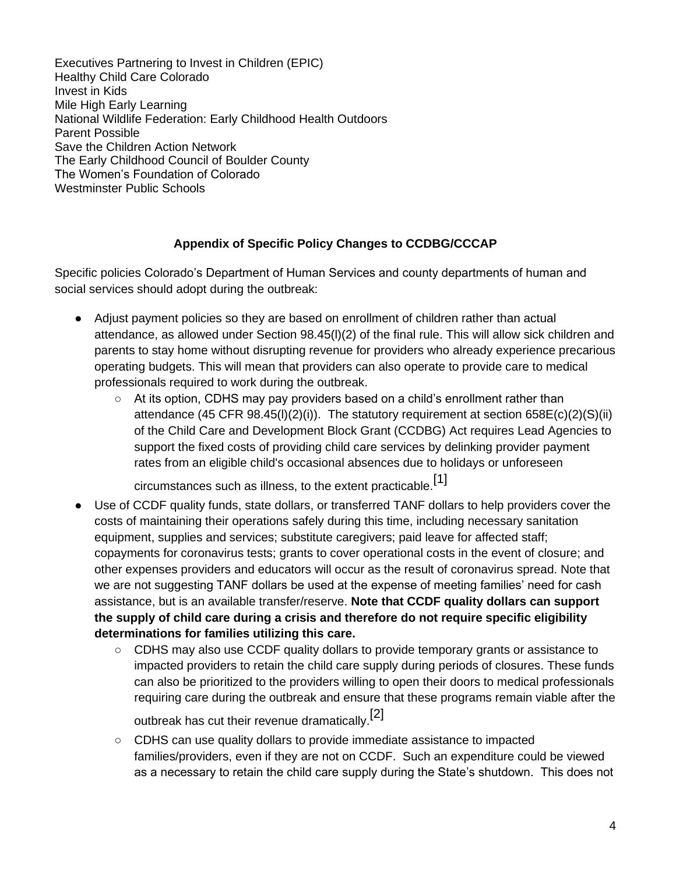Executives Partnering to Invest in Children (EPIC) Healthy Child Care Colorado Invest in Kids Mile High Early Learning National Wildlife Federation: Early Childhood Health Outdoors Parent Possible Save the Children Action Network The Early Childhood Council of Boulder County The Women's Foundation of Colorado Westminster Public Schools

## **Appendix of Specific Policy Changes to CCDBG/CCCAP**

Specific policies Colorado's Department of Human Services and county departments of human and social services should adopt during the outbreak:

- Adjust payment policies so they are based on enrollment of children rather than actual attendance, as allowed under Section 98.45(l)(2) of the final rule. This will allow sick children and parents to stay home without disrupting revenue for providers who already experience precarious operating budgets. This will mean that providers can also operate to provide care to medical professionals required to work during the outbreak.
	- $\circ$  At its option, CDHS may pay providers based on a child's enrollment rather than attendance (45 CFR 98.45(l)(2)(i)). The statutory requirement at section 658E(c)(2)(S)(ii) of the Child Care and Development Block Grant (CCDBG) Act requires Lead Agencies to support the fixed costs of providing child care services by delinking provider payment rates from an eligible child's occasional absences due to holidays or unforeseen

circumstances such as illness, to the extent practicable.<sup>[1]</sup>

- Use of CCDF quality funds, state dollars, or transferred TANF dollars to help providers cover the costs of maintaining their operations safely during this time, including necessary sanitation equipment, supplies and services; substitute caregivers; paid leave for affected staff; copayments for coronavirus tests; grants to cover operational costs in the event of closure; and other expenses providers and educators will occur as the result of coronavirus spread. Note that we are not suggesting TANF dollars be used at the expense of meeting families' need for cash assistance, but is an available transfer/reserve. **Note that CCDF quality dollars can support the supply of child care during a crisis and therefore do not require specific eligibility determinations for families utilizing this care.**
	- CDHS may also use CCDF quality dollars to provide temporary grants or assistance to impacted providers to retain the child care supply during periods of closures. These funds can also be prioritized to the providers willing to open their doors to medical professionals requiring care during the outbreak and ensure that these programs remain viable after the

outbreak has cut their revenue dramatically.<sup>[2]</sup>

○ CDHS can use quality dollars to provide immediate assistance to impacted families/providers, even if they are not on CCDF. Such an expenditure could be viewed as a necessary to retain the child care supply during the State's shutdown. This does not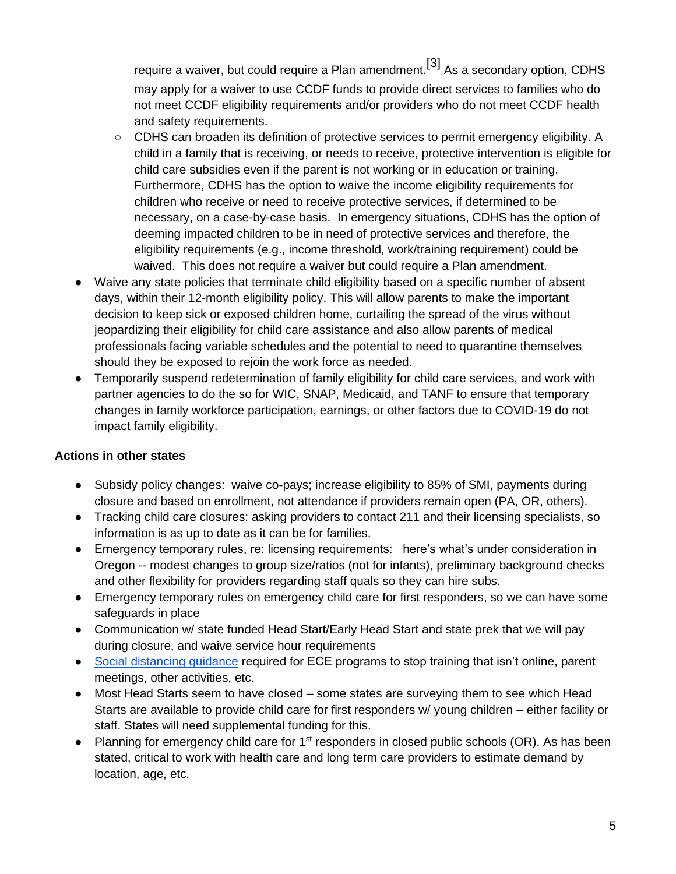require a waiver, but could require a Plan amendment.<sup>[3]</sup> As a secondary option, CDHS may apply for a waiver to use CCDF funds to provide direct services to families who do not meet CCDF eligibility requirements and/or providers who do not meet CCDF health and safety requirements.

- CDHS can broaden its definition of protective services to permit emergency eligibility. A child in a family that is receiving, or needs to receive, protective intervention is eligible for child care subsidies even if the parent is not working or in education or training. Furthermore, CDHS has the option to waive the income eligibility requirements for children who receive or need to receive protective services, if determined to be necessary, on a case-by-case basis. In emergency situations, CDHS has the option of deeming impacted children to be in need of protective services and therefore, the eligibility requirements (e.g., income threshold, work/training requirement) could be waived. This does not require a waiver but could require a Plan amendment.
- Waive any state policies that terminate child eligibility based on a specific number of absent days, within their 12-month eligibility policy. This will allow parents to make the important decision to keep sick or exposed children home, curtailing the spread of the virus without jeopardizing their eligibility for child care assistance and also allow parents of medical professionals facing variable schedules and the potential to need to quarantine themselves should they be exposed to rejoin the work force as needed.
- Temporarily suspend redetermination of family eligibility for child care services, and work with partner agencies to do the so for WIC, SNAP, Medicaid, and TANF to ensure that temporary changes in family workforce participation, earnings, or other factors due to COVID-19 do not impact family eligibility.

## **Actions in other states**

- Subsidy policy changes: waive co-pays; increase eligibility to 85% of SMI, payments during closure and based on enrollment, not attendance if providers remain open (PA, OR, others).
- Tracking child care closures: asking providers to contact 211 and their licensing specialists, so information is as up to date as it can be for families.
- Emergency temporary rules, re: licensing requirements: here's what's under consideration in Oregon -- modest changes to group size/ratios (not for infants), preliminary background checks and other flexibility for providers regarding staff quals so they can hire subs.
- Emergency temporary rules on emergency child care for first responders, so we can have some safeguards in place
- Communication w/ state funded Head Start/Early Head Start and state prek that we will pay during closure, and waive service hour requirements
- [Social distancing guidance](https://drive.google.com/file/d/1ikBiqI-OM_mllxdlTdkWU7OgIJJK3XpU/view) required for ECE programs to stop training that isn't online, parent meetings, other activities, etc.
- Most Head Starts seem to have closed some states are surveying them to see which Head Starts are available to provide child care for first responders w/ young children – either facility or staff. States will need supplemental funding for this.
- Planning for emergency child care for 1<sup>st</sup> responders in closed public schools (OR). As has been stated, critical to work with health care and long term care providers to estimate demand by location, age, etc.